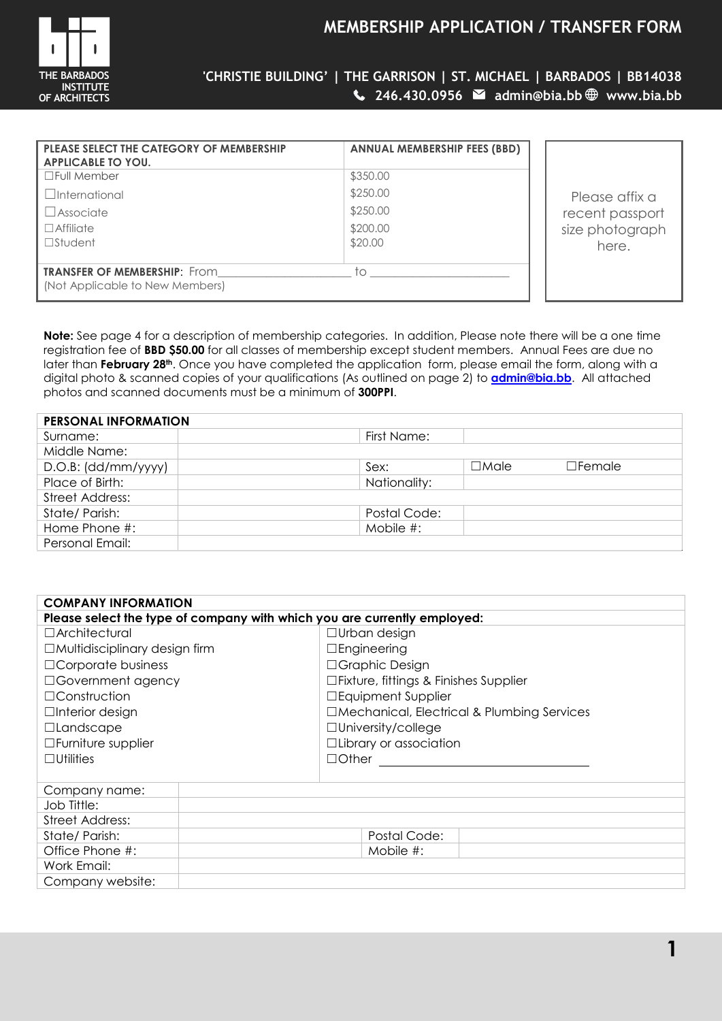

# **MEMBERSHIP APPLICATION / TRANSFER FORM**

**'CHRISTIE BUILDING' | THE GARRISON | ST. MICHAEL | BARBADOS | BB14038 246.430.0956 admin@bia.bb www.bia.bb**

| <b>ANNUAL MEMBERSHIP FEES (BBD)</b> |
|-------------------------------------|
| \$350.00                            |
| \$250.00                            |
| \$250.00                            |
| \$200.00<br>\$20.00                 |
|                                     |
| tο                                  |
|                                     |

Please affix a recent passport ze photograph here.

**Note:** See page 4 for a description of membership categories. In addition, Please note there will be a one time registration fee of **BBD \$50.00** for all classes of membership except student members. Annual Fees are due no later than **February 28th**. Once you have completed the application form, please email the form, along with a digital photo & scanned copies of your qualifications (As outlined on page 2) to **[admin@bia.bb](mailto:admin@bia.bb)**. All attached photos and scanned documents must be a minimum of **300PPI**.

| <b>PERSONAL INFORMATION</b> |              |             |               |  |
|-----------------------------|--------------|-------------|---------------|--|
| Surname:                    | First Name:  |             |               |  |
| Middle Name:                |              |             |               |  |
| D.O.B: (dd/mm/yyyy)         | Sex:         | $\Box$ Male | $\Box$ Female |  |
| Place of Birth:             | Nationality: |             |               |  |
| Street Address:             |              |             |               |  |
| State/Parish:               | Postal Code: |             |               |  |
| Home Phone #:               | Mobile $#$ : |             |               |  |
| Personal Email:             |              |             |               |  |

| <b>COMPANY INFORMATION</b>                                               |                               |  |  |  |
|--------------------------------------------------------------------------|-------------------------------|--|--|--|
| Please select the type of company with which you are currently employed: |                               |  |  |  |
| $\Box$ Architectural                                                     | $\Box$ Urban design           |  |  |  |
| $\Box$ Multidisciplinary design firm                                     | $\Box$ Engineering            |  |  |  |
| $\Box$ Corporate business                                                | □Graphic Design               |  |  |  |
| □Government agency<br>$\Box$ Fixture, fittings & Finishes Supplier       |                               |  |  |  |
| $\Box$ Construction<br>□Equipment Supplier                               |                               |  |  |  |
| □Mechanical, Electrical & Plumbing Services<br>$\Box$ Interior design    |                               |  |  |  |
| □Landscape                                                               | $\Box$ University/college     |  |  |  |
| □Furniture supplier                                                      | $\Box$ Library or association |  |  |  |
| $\Box$ Utilities                                                         | $\Box$ Other                  |  |  |  |
|                                                                          |                               |  |  |  |
| Company name:                                                            |                               |  |  |  |
| Job Tittle:                                                              |                               |  |  |  |
| <b>Street Address:</b>                                                   |                               |  |  |  |
| State/Parish:                                                            | Postal Code:                  |  |  |  |
| Office Phone #:                                                          | Mobile $#$ :                  |  |  |  |
| Work Email:                                                              |                               |  |  |  |
| Company website:                                                         |                               |  |  |  |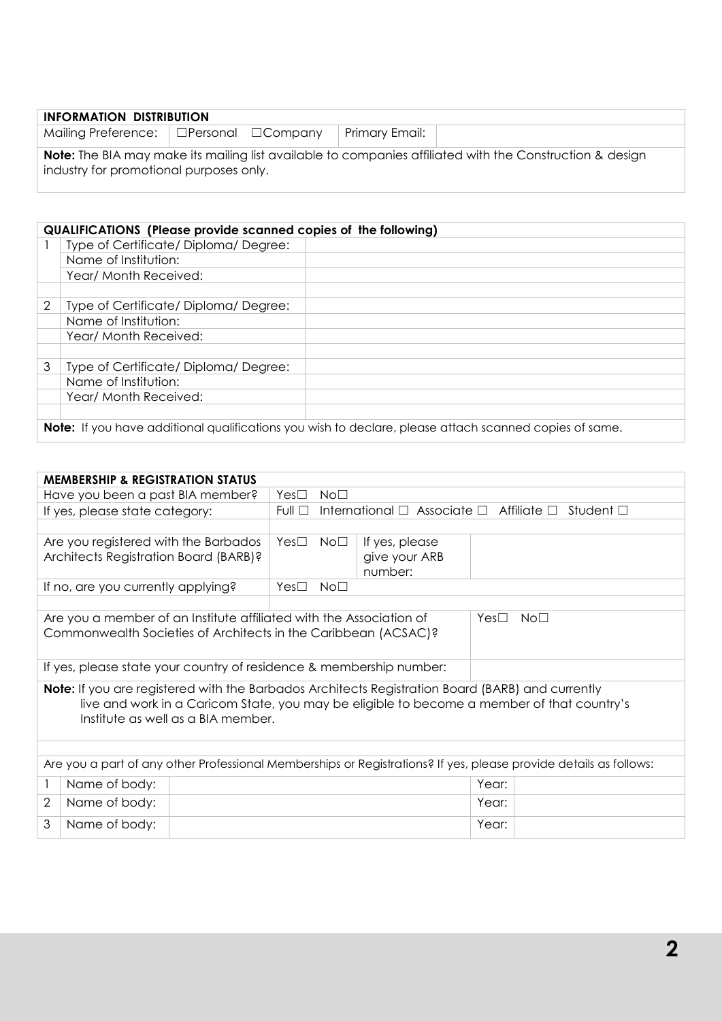| <b>INFORMATION DISTRIBUTION</b>                                                                                                                            |  |  |                |  |  |
|------------------------------------------------------------------------------------------------------------------------------------------------------------|--|--|----------------|--|--|
| Mailing Preference:   □Personal □Company                                                                                                                   |  |  | Primary Email: |  |  |
| <b>Note:</b> The BIA may make its mailing list available to companies affiliated with the Construction & design<br>industry for promotional purposes only. |  |  |                |  |  |

# **QUALIFICATIONS (Please provide scanned copies of the following)** 1 | Type of Certificate/ Diploma/ Degree: Name of Institution: Year/ Month Received: 2 Type of Certificate/ Diploma/ Degree: Name of Institution: Year/ Month Received: 3 Type of Certificate/ Diploma/ Degree: Name of Institution: Year/ Month Received: **Note:** If you have additional qualifications you wish to declare, please attach scanned copies of same.

|                                                                                                                                                                                                                                      | <b>MEMBERSHIP &amp; REGISTRATION STATUS</b>                         |  |                                                                                                  |                 |                |       |  |
|--------------------------------------------------------------------------------------------------------------------------------------------------------------------------------------------------------------------------------------|---------------------------------------------------------------------|--|--------------------------------------------------------------------------------------------------|-----------------|----------------|-------|--|
|                                                                                                                                                                                                                                      | Have you been a past BIA member?                                    |  | $Yes\square$                                                                                     | No <sub>1</sub> |                |       |  |
|                                                                                                                                                                                                                                      | If yes, please state category:                                      |  | International $\Box$ Associate $\Box$<br>Full $\square$<br>Affiliate $\Box$<br>Student $\square$ |                 |                |       |  |
|                                                                                                                                                                                                                                      |                                                                     |  |                                                                                                  |                 |                |       |  |
|                                                                                                                                                                                                                                      | Are you registered with the Barbados                                |  | Yes $\Box$                                                                                       | $No\square$     | If yes, please |       |  |
|                                                                                                                                                                                                                                      | Architects Registration Board (BARB)?                               |  |                                                                                                  |                 | give your ARB  |       |  |
|                                                                                                                                                                                                                                      |                                                                     |  |                                                                                                  |                 | number:        |       |  |
|                                                                                                                                                                                                                                      | If no, are you currently applying?                                  |  | Yes <sup>T</sup>                                                                                 | No <sub>1</sub> |                |       |  |
| No <sub>1</sub><br>Are you a member of an Institute affiliated with the Association of<br>Yes□<br>Commonwealth Societies of Architects in the Caribbean (ACSAC)?                                                                     |                                                                     |  |                                                                                                  |                 |                |       |  |
|                                                                                                                                                                                                                                      | If yes, please state your country of residence & membership number: |  |                                                                                                  |                 |                |       |  |
| Note: If you are registered with the Barbados Architects Registration Board (BARB) and currently<br>live and work in a Caricom State, you may be eligible to become a member of that country's<br>Institute as well as a BIA member. |                                                                     |  |                                                                                                  |                 |                |       |  |
|                                                                                                                                                                                                                                      |                                                                     |  |                                                                                                  |                 |                |       |  |
| Are you a part of any other Professional Memberships or Registrations? If yes, please provide details as follows:                                                                                                                    |                                                                     |  |                                                                                                  |                 |                |       |  |
| 1                                                                                                                                                                                                                                    | Name of body:                                                       |  |                                                                                                  |                 |                | Year: |  |
| $\overline{2}$                                                                                                                                                                                                                       | Name of body:                                                       |  |                                                                                                  |                 |                | Year: |  |
| 3                                                                                                                                                                                                                                    | Name of body:                                                       |  |                                                                                                  |                 |                | Year: |  |
|                                                                                                                                                                                                                                      |                                                                     |  |                                                                                                  |                 |                |       |  |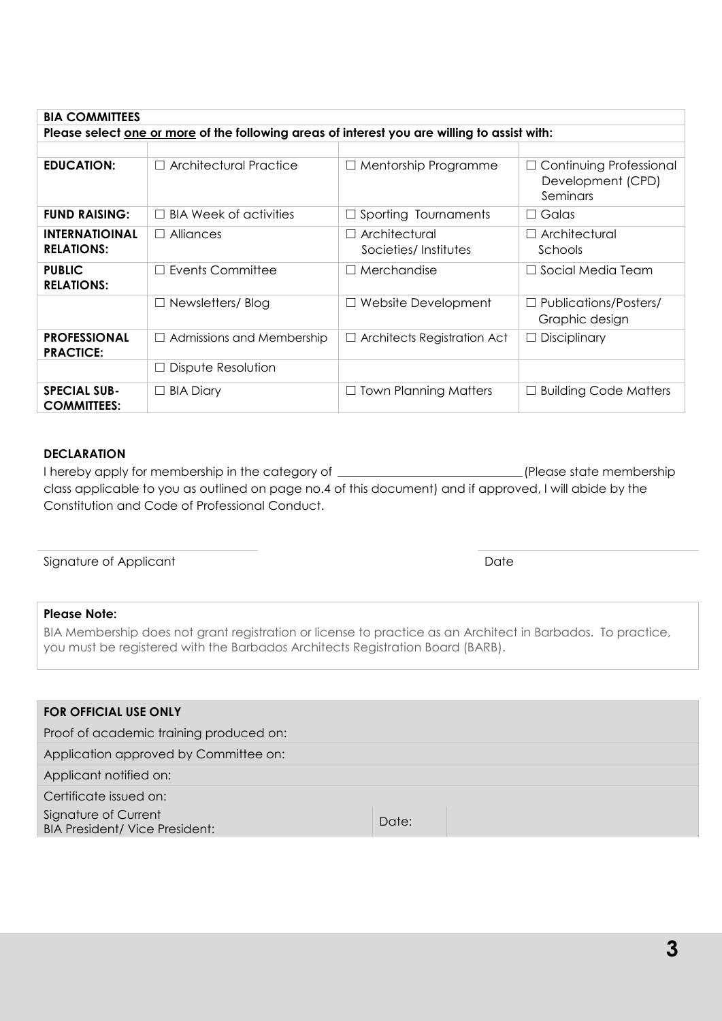| Please select one or more of the following areas of interest you are willing to assist with: |                                  |                                              |                                                                 |  |  |
|----------------------------------------------------------------------------------------------|----------------------------------|----------------------------------------------|-----------------------------------------------------------------|--|--|
|                                                                                              |                                  |                                              |                                                                 |  |  |
| <b>EDUCATION:</b>                                                                            | $\Box$ Architectural Practice    | $\Box$ Mentorship Programme                  | $\Box$ Continuing Professional<br>Development (CPD)<br>Seminars |  |  |
| <b>FUND RAISING:</b>                                                                         | $\Box$ BIA Week of activities    | $\Box$ Sporting Tournaments                  | Galas<br>$\Box$                                                 |  |  |
| <b>INTERNATIOINAL</b><br><b>RELATIONS:</b>                                                   | $\Box$ Alliances                 | $\Box$ Architectural<br>Societies/Institutes | $\Box$ Architectural<br>Schools                                 |  |  |
| <b>PUBLIC</b><br><b>RELATIONS:</b>                                                           | $\Box$ Events Committee          | $\Box$ Merchandise                           | Social Media Team<br>$\perp$                                    |  |  |
|                                                                                              | $\Box$ Newsletters/ Blog         | $\Box$ Website Development                   | Publications/Posters/<br>Graphic design                         |  |  |
| <b>PROFESSIONAL</b><br><b>PRACTICE:</b>                                                      | $\Box$ Admissions and Membership | $\Box$ Architects Registration Act           | Disciplinary                                                    |  |  |
|                                                                                              | $\Box$ Dispute Resolution        |                                              |                                                                 |  |  |
| <b>SPECIAL SUB-</b><br><b>COMMITTEES:</b>                                                    | $\Box$ BIA Diary                 | <b>Town Planning Matters</b><br>$\Box$       | <b>Building Code Matters</b><br>ш                               |  |  |

# **DECLARATION**

**BIA COMMITTEES**

I hereby apply for membership in the category of \_\_\_\_\_\_\_\_\_\_\_\_\_\_\_\_\_\_\_\_\_\_\_\_\_\_\_\_\_\_\_\_(Please state membership class applicable to you as outlined on page no.4 of this document) and if approved, I will abide by the Constitution and Code of Professional Conduct.

Signature of Applicant Date Date Date Date Date

## **Please Note:**

BIA Membership does not grant registration or license to practice as an Architect in Barbados. To practice, you must be registered with the Barbados Architects Registration Board (BARB).

| <b>FOR OFFICIAL USE ONLY</b>                                  |       |  |  |  |
|---------------------------------------------------------------|-------|--|--|--|
| Proof of academic training produced on:                       |       |  |  |  |
| Application approved by Committee on:                         |       |  |  |  |
| Applicant notified on:                                        |       |  |  |  |
| Certificate issued on:                                        |       |  |  |  |
| Signature of Current<br><b>BIA President/ Vice President:</b> | Date: |  |  |  |